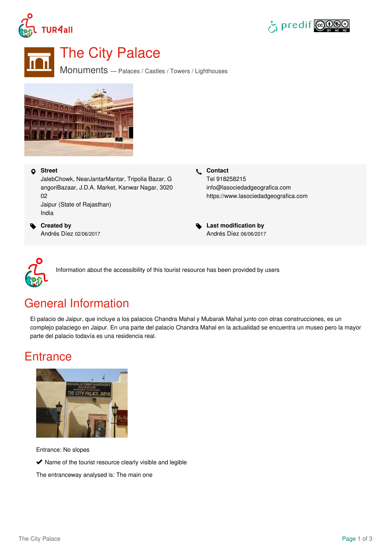





# The City Palace

Monuments — Palaces / Castles / Towers / Lighthouses



#### **Street**

JalebChowk, NearJantarMantar, Tripolia Bazar, G angoriBazaar, J.D.A. Market, Kanwar Nagar, 3020 02 Jaipur (State of Rajasthan) India

 **Created by** Andrés Díez 02/06/2017  **Contact** Tel 918258215 info@lasociedadgeografica.com <https://www.lasociedadgeografica.com>

 **Last modification by** Andrés Díez 06/06/2017



Information about the accessibility of this tourist resource has been provided by users

## General Information

El palacio de Jaipur, que incluye a los palacios Chandra Mahal y Mubarak Mahal junto con otras construcciones, es un complejo palaciego en Jaipur. En una parte del palacio Chandra Mahal en la actualidad se encuentra un museo pero la mayor parte del palacio todavía es una residencia real.

### **Entrance**



Entrance: No slopes

 $\blacktriangleright$  Name of the tourist resource clearly visible and legible

The entranceway analysed is: The main one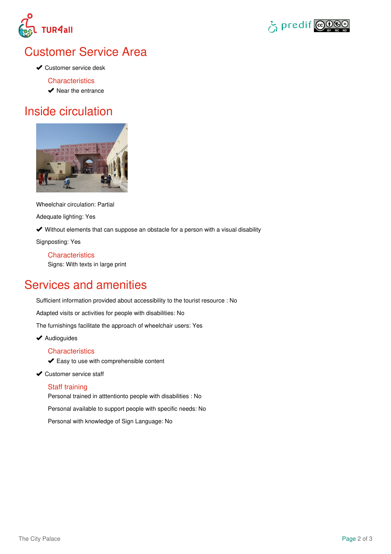



## Customer Service Area

**◆ Customer service desk** 

**Characteristics** 

 $\blacktriangleright$  Near the entrance

### Inside circulation



Wheelchair circulation: Partial

Adequate lighting: Yes

Without elements that can suppose an obstacle for a person with a visual disability

Signposting: Yes

**Characteristics** Signs: With texts in large print

# Services and amenities

Sufficient information provided about accessibility to the tourist resource : No

Adapted visits or activities for people with disabilities: No

The furnishings facilitate the approach of wheelchair users: Yes

◆ Audioguides

#### **Characteristics**

Easy to use with comprehensible content

◆ Customer service staff

#### Staff training

Personal trained in atttentionto people with disabilities : No

Personal available to support people with specific needs: No

Personal with knowledge of Sign Language: No